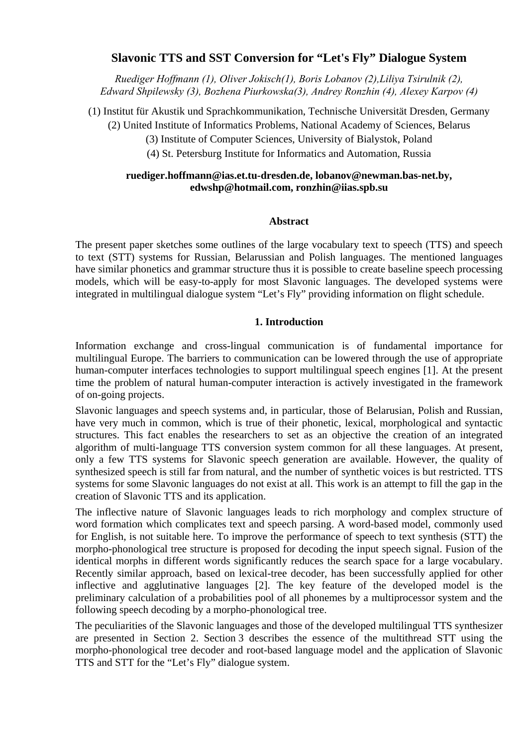# **Slavonic TTS and SST Conversion for "Let's Fly" Dialogue System**

*Ruediger Hoffmann (1), Oliver Jokisch(1), Boris Lobanov (2),Liliya Tsirulnik (2), Edward Shpilewsky (3), Bozhena Piurkowska(3), Andrey Ronzhin (4), Alexey Karpov (4)* 

(1) Institut für Akustik und Sprachkommunikation, Technische Universität Dresden, Germany

(2) United Institute of Informatics Problems, National Academy of Sciences, Belarus

(3) Institute of Computer Sciences, University of Bialystok, Poland

(4) St. Petersburg Institute for Informatics and Automation, Russia

# **[ruediger.hoffmann@ias.et.tu-dresden.de,](mailto:ruediger.hoffmann@ias.et.tu-dresden.de) [lobanov@newman.bas-net.by,](mailto:lobanov@newman.bas-net.by) [edwshp@hotmail.com,](mailto:edwshp@hotmail.com) [ronzhin@iias.spb.su](mailto:ronzhin@iias.spb.su)**

### **Abstract**

The present paper sketches some outlines of the large vocabulary text to speech (TTS) and speech to text (STT) systems for Russian, Belarussian and Polish languages. The mentioned languages have similar phonetics and grammar structure thus it is possible to create baseline speech processing models, which will be easy-to-apply for most Slavonic languages. The developed systems were integrated in multilingual dialogue system "Let's Fly" providing information on flight schedule.

# **1. Introduction**

Information exchange and cross-lingual communication is of fundamental importance for multilingual Europe. The barriers to communication can be lowered through the use of appropriate human-computer interfaces technologies to support multilingual speech engines [1]. At the present time the problem of natural human-computer interaction is actively investigated in the framework of on-going projects.

Slavonic languages and speech systems and, in particular, those of Belarusian, Polish and Russian, have very much in common, which is true of their phonetic, lexical, morphological and syntactic structures. This fact enables the researchers to set as an objective the creation of an integrated algorithm of multi-language TTS conversion system common for all these languages. At present, only a few TTS systems for Slavonic speech generation are available. However, the quality of synthesized speech is still far from natural, and the number of synthetic voices is but restricted. TTS systems for some Slavonic languages do not exist at all. This work is an attempt to fill the gap in the creation of Slavonic TTS and its application.

The inflective nature of Slavonic languages leads to rich morphology and complex structure of word formation which complicates text and speech parsing. A word-based model, commonly used for English, is not suitable here. To improve the performance of speech to text synthesis (STT) the morpho-phonological tree structure is proposed for decoding the input speech signal. Fusion of the identical morphs in different words significantly reduces the search space for a large vocabulary. Recently similar approach, based on lexical-tree decoder, has been successfully applied for other inflective and agglutinative languages [2]. The key feature of the developed model is the preliminary calculation of a probabilities pool of all phonemes by a multiprocessor system and the following speech decoding by a morpho-phonological tree.

The peculiarities of the Slavonic languages and those of the developed multilingual TTS synthesizer are presented in Section 2. Section 3 describes the essence of the multithread STT using the morpho-phonological tree decoder and root-based language model and the application of Slavonic TTS and STT for the "Let's Fly" dialogue system.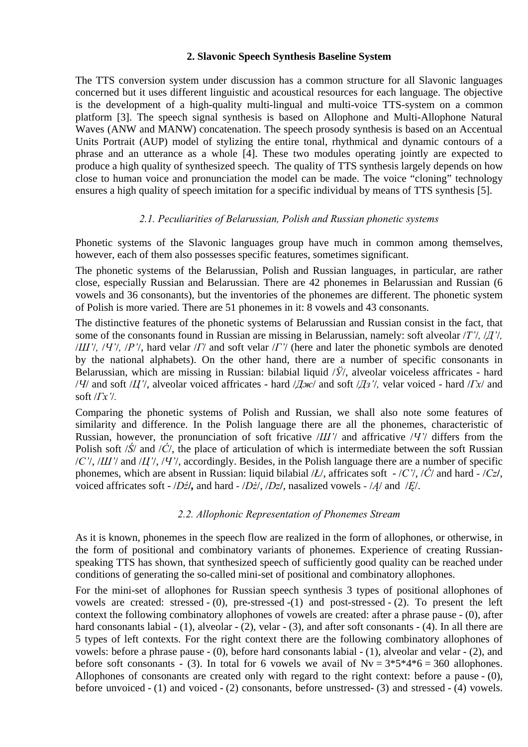#### **2. Slavonic Speech Synthesis Baseline System**

The TTS conversion system under discussion has a common structure for all Slavonic languages concerned but it uses different linguistic and acoustical resources for each language. The objective is the development of a high-quality multi-lingual and multi-voice TTS-system on a common platform [3]. The speech signal synthesis is based on Allophone and Multi-Allophone Natural Waves (ANW and MANW) concatenation. The speech prosody synthesis is based on an Accentual Units Portrait (AUP) model of stylizing the entire tonal, rhythmical and dynamic contours of a phrase and an utterance as a whole [4]. These two modules operating jointly are expected to produce a high quality of synthesized speech. The quality of TTS synthesis largely depends on how close to human voice and pronunciation the model can be made. The voice "cloning" technology ensures a high quality of speech imitation for a specific individual by means of TTS synthesis [5].

# *2.1. Peculiarities of Belarussian, Polish and Russian phonetic systems*

Phonetic systems of the Slavonic languages group have much in common among themselves, however, each of them also possesses specific features, sometimes significant.

The phonetic systems of the Belarussian, Polish and Russian languages, in particular, are rather close, especially Russian and Belarussian. There are 42 phonemes in Belarussian and Russian (6 vowels and 36 consonants), but the inventories of the phonemes are different. The phonetic system of Polish is more varied. There are 51 phonemes in it: 8 vowels and 43 consonants.

The distinctive features of the phonetic systems of Belarussian and Russian consist in the fact, that some of the consonants found in Russian are missing in Belarussian, namely: soft alveolar /*Т'*/*,* /*Д'*/*,*  /*Ш'*/*,* /*Ч'*/*,* /*Р'*/, hard velar /*Г*/ and soft velar /*Г'*/ (here and later the phonetic symbols are denoted by the national alphabets). On the other hand, there are a number of specific consonants in Belarussian, which are missing in Russian: bilabial liquid /*Ў*/, alveolar voiceless affricates - hard /*Ч*/ and soft /*Ц'*/, alveolar voiced affricates - hard /*Дж*/ and soft /*Дз'*/*,* velar voiced - hard /*Гх*/ and soft /*Гх'*/*.*

Comparing the phonetic systems of Polish and Russian, we shall also note some features of similarity and difference. In the Polish language there are all the phonemes, characteristic of Russian, however, the pronunciation of soft fricative /*Ш'*/ and affricative /*Ч'*/ differs from the Polish soft /*Ś*/ and /*Ć*/, the place of articulation of which is intermediate between the soft Russian /*С'*/, /*Ш'*/ and /*Ц'*/, /*Ч'*/, accordingly. Besides, in the Polish language there are a number of specific phonemes, which are absent in Russian: liquid bilabial /*Ł*/, affricates soft - /*С'*/, /*Ć*/ and hard *-* /*Cz***/**, voiced affricates soft - /*Dź***/***,* and hard *-* /*Dż*/, /*Dz***/**, nasalized vowels *-* /*Ą*/ and/*Ę*/.

### *2.2. Allophonic Representation of Phonemes Stream*

As it is known, phonemes in the speech flow are realized in the form of allophones, or otherwise, in the form of positional and combinatory variants of phonemes. Experience of creating Russianspeaking TTS has shown, that synthesized speech of sufficiently good quality can be reached under conditions of generating the so-called mini-set of positional and combinatory allophones.

For the mini-set of allophones for Russian speech synthesis 3 types of positional allophones of vowels are created: stressed - (0), pre-stressed -(1) and post-stressed - (2). To present the left context the following combinatory allophones of vowels are created: after a phrase pause - (0), after hard consonants labial - (1), alveolar - (2), velar - (3), and after soft consonants - (4). In all there are 5 types of left contexts. For the right context there are the following combinatory allophones of vowels: before a phrase pause - (0), before hard consonants labial - (1), alveolar and velar - (2), and before soft consonants - (3). In total for 6 vowels we avail of  $Nv = 3*5*4*6 = 360$  allophones. Allophones of consonants are created only with regard to the right context: before a pause - (0), before unvoiced - (1) and voiced - (2) consonants, before unstressed- (3) and stressed - (4) vowels.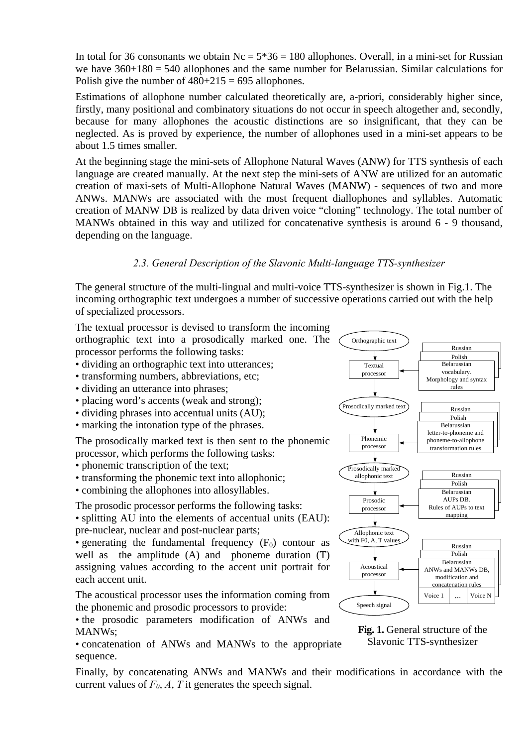In total for 36 consonants we obtain  $Nc = 5*36 = 180$  allophones. Overall, in a mini-set for Russian we have  $360+180 = 540$  allophones and the same number for Belarussian. Similar calculations for Polish give the number of  $480+215 = 695$  allophones.

Estimations of allophone number calculated theoretically are, a-priori, considerably higher since, firstly, many positional and combinatory situations do not occur in speech altogether and, secondly, because for many allophones the acoustic distinctions are so insignificant, that they can be neglected. As is proved by experience, the number of allophones used in a mini-set appears to be about 1.5 times smaller.

At the beginning stage the mini-sets of Allophone Natural Waves (ANW) for TTS synthesis of each language are created manually. At the next step the mini-sets of ANW are utilized for an automatic creation of maxi-sets of Multi-Allophone Natural Waves (MANW) - sequences of two and more ANWs. MANWs are associated with the most frequent diallophones and syllables. Automatic creation of MANW DB is realized by data driven voice "cloning" technology. The total number of MANWs obtained in this way and utilized for concatenative synthesis is around 6 - 9 thousand, depending on the language.

# *2.3. General Description of the Slavonic Multi-language TTS-synthesizer*

The general structure of the multi-lingual and multi-voice TTS-synthesizer is shown in Fig.1. The incoming orthographic text undergoes a number of successive operations carried out with the help of specialized processors.



- dividing an orthographic text into utterances;
- transforming numbers, abbreviations, etc;
- dividing an utterance into phrases;
- placing word's accents (weak and strong);
- dividing phrases into accentual units (AU);
- marking the intonation type of the phrases.

The prosodically marked text is then sent to the phonemic processor, which performs the following tasks:

• phonemic transcription of the text;

• transforming the phonemic text into allophonic;

• combining the allophones into allosyllables.

The prosodic processor performs the following tasks:

• splitting AU into the elements of accentual units (EAU): pre-nuclear, nuclear and post-nuclear parts;

• generating the fundamental frequency  $(F_0)$  contour as well as the amplitude (A) and phoneme duration (T) assigning values according to the accent unit portrait for each accent unit.

The acoustical processor uses the information coming from the phonemic and prosodic processors to provide:

• the prosodic parameters modification of ANWs and MANWs;<br>
• concatenation of ANWs and MANWs to the appropriate Slavonic TTS-synthesizer

• concatenation of ANWs and MANWs to the appropriate sequence.

Finally, by concatenating ANWs and MANWs and their modifications in accordance with the current values of  $F_0$ ,  $A$ ,  $T$  it generates the speech signal.

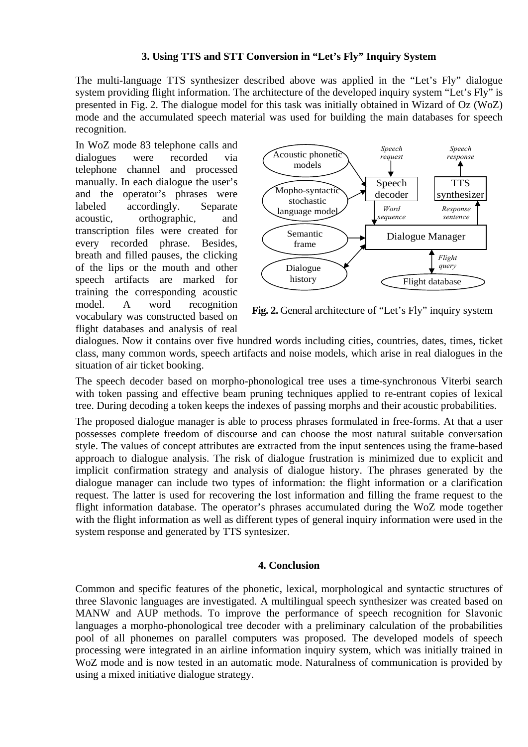# **3. Using TTS and STT Conversion in "Let's Fly" Inquiry System**

The multi-language TTS synthesizer described above was applied in the "Let's Fly" dialogue system providing flight information. The architecture of the developed inquiry system "Let's Fly" is presented in Fig. 2. The dialogue model for this task was initially obtained in Wizard of Oz (WoZ) mode and the accumulated speech material was used for building the main databases for speech recognition.

In WoZ mode 83 telephone calls and dialogues were recorded via telephone channel and processed manually. In each dialogue the user's and the operator's phrases were labeled accordingly. Separate acoustic, orthographic, and transcription files were created for every recorded phrase. Besides, breath and filled pauses, the clicking of the lips or the mouth and other speech artifacts are marked for training the corresponding acoustic model. A word recognition vocabulary was constructed based on flight databases and analysis of real



**Fig. 2.** General architecture of "Let's Fly" inquiry system

dialogues. Now it contains over five hundred words including cities, countries, dates, times, ticket class, many common words, speech artifacts and noise models, which arise in real dialogues in the situation of air ticket booking.

The speech decoder based on morpho-phonological tree uses a time-synchronous Viterbi search with token passing and effective beam pruning techniques applied to re-entrant copies of lexical tree. During decoding a token keeps the indexes of passing morphs and their acoustic probabilities.

The proposed dialogue manager is able to process phrases formulated in free-forms. At that a user possesses complete freedom of discourse and can choose the most natural suitable conversation style. The values of concept attributes are extracted from the input sentences using the frame-based approach to dialogue analysis. The risk of dialogue frustration is minimized due to explicit and implicit confirmation strategy and analysis of dialogue history. The phrases generated by the dialogue manager can include two types of information: the flight information or a clarification request. The latter is used for recovering the lost information and filling the frame request to the flight information database. The operator's phrases accumulated during the WoZ mode together with the flight information as well as different types of general inquiry information were used in the system response and generated by TTS syntesizer.

### **4. Conclusion**

Common and specific features of the phonetic, lexical, morphological and syntactic structures of three Slavonic languages are investigated. A multilingual speech synthesizer was created based on MANW and AUP methods. To improve the performance of speech recognition for Slavonic languages a morpho-phonological tree decoder with a preliminary calculation of the probabilities pool of all phonemes on parallel computers was proposed. The developed models of speech processing were integrated in an airline information inquiry system, which was initially trained in WoZ mode and is now tested in an automatic mode. Naturalness of communication is provided by using a mixed initiative dialogue strategy.